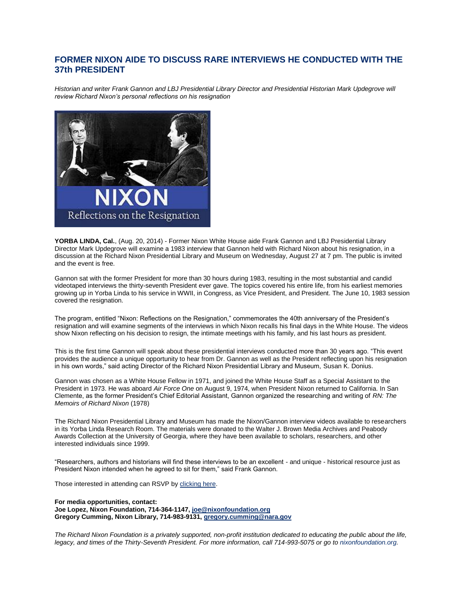## **FORMER NIXON AIDE TO DISCUSS RARE INTERVIEWS HE CONDUCTED WITH THE 37th PRESIDENT**

*Historian and writer Frank Gannon and LBJ Presidential Library Director and Presidential Historian Mark Updegrove will review Richard Nixon's personal reflections on his resignation*



**YORBA LINDA, Cal.**, (Aug. 20, 2014) - Former Nixon White House aide Frank Gannon and LBJ Presidential Library Director Mark Updegrove will examine a 1983 interview that Gannon held with Richard Nixon about his resignation, in a discussion at the Richard Nixon Presidential Library and Museum on Wednesday, August 27 at 7 pm. The public is invited and the event is free.

Gannon sat with the former President for more than 30 hours during 1983, resulting in the most substantial and candid videotaped interviews the thirty-seventh President ever gave. The topics covered his entire life, from his earliest memories growing up in Yorba Linda to his service in WWII, in Congress, as Vice President, and President. The June 10, 1983 session covered the resignation.

The program, entitled "Nixon: Reflections on the Resignation," commemorates the 40th anniversary of the President's resignation and will examine segments of the interviews in which Nixon recalls his final days in the White House. The videos show Nixon reflecting on his decision to resign, the intimate meetings with his family, and his last hours as president.

This is the first time Gannon will speak about these presidential interviews conducted more than 30 years ago. "This event provides the audience a unique opportunity to hear from Dr. Gannon as well as the President reflecting upon his resignation in his own words," said acting Director of the Richard Nixon Presidential Library and Museum, Susan K. Donius.

Gannon was chosen as a White House Fellow in 1971, and joined the White House Staff as a Special Assistant to the President in 1973. He was aboard *Air Force One* on August 9, 1974, when President Nixon returned to California. In San Clemente, as the former President's Chief Editorial Assistant, Gannon organized the researching and writing of *RN: The Memoirs of Richard Nixon* (1978)

The Richard Nixon Presidential Library and Museum has made the Nixon/Gannon interview videos available to researchers in its Yorba Linda Research Room. The materials were donated to the Walter J. Brown Media Archives and Peabody Awards Collection at the University of Georgia, where they have been available to scholars, researchers, and other interested individuals since 1999.

"Researchers, authors and historians will find these interviews to be an excellent - and unique - historical resource just as President Nixon intended when he agreed to sit for them," said Frank Gannon.

Those interested in attending can RSVP by [clicking here.](https://www.eventbrite.com/e/nixon-reflections-on-the-resignation-tickets-12727224471)

**For media opportunities, contact: Joe Lopez, Nixon Foundation, 714-364-1147, [joe@nixonfoundation.org](mailto:joe@nixonfoundation.org) Gregory Cumming, Nixon Library, 714-983-9131, [gregory.cumming@nara.gov](mailto:gregory.cumming@nara.gov)**

*The Richard Nixon Foundation is a privately supported, non-profit institution dedicated to educating the public about the life, legacy, and times of the Thirty-Seventh President. For more information, call 714-993-5075 or go to [nixonfoundation.org.](http://nixonfoundation.org/)*